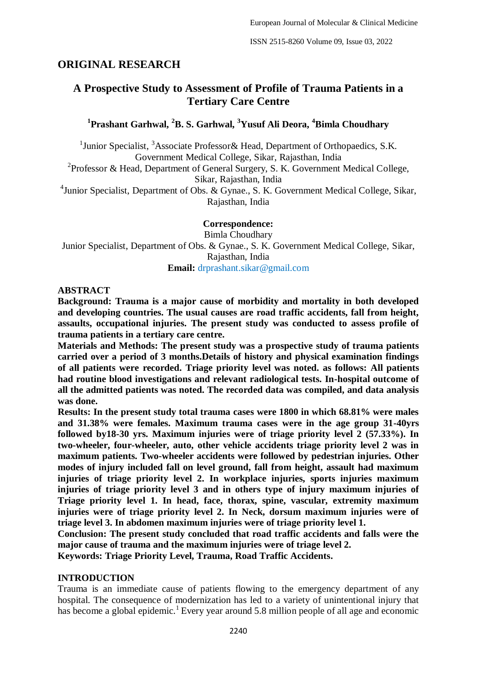# **ORIGINAL RESEARCH**

# **A Prospective Study to Assessment of Profile of Trauma Patients in a Tertiary Care Centre**

### **1 Prashant Garhwal, <sup>2</sup>B. S. Garhwal, <sup>3</sup>Yusuf Ali Deora, <sup>4</sup>Bimla Choudhary**

<sup>1</sup> Junior Specialist, <sup>3</sup>Associate Professor & Head, Department of Orthopaedics, S.K. Government Medical College, Sikar, Rajasthan, India

<sup>2</sup> Professor & Head, Department of General Surgery, S. K. Government Medical College, Sikar, Rajasthan, India

<sup>4</sup> Junior Specialist, Department of Obs. & Gynae., S. K. Government Medical College, Sikar, Rajasthan, India

> **Correspondence:** Bimla Choudhary

Junior Specialist, Department of Obs. & Gynae., S. K. Government Medical College, Sikar, Rajasthan, India **Email:** drprashant.sikar@gmail.com

### **ABSTRACT**

**Background: Trauma is a major cause of morbidity and mortality in both developed and developing countries. The usual causes are road traffic accidents, fall from height, assaults, occupational injuries. The present study was conducted to assess profile of trauma patients in a tertiary care centre.**

**Materials and Methods: The present study was a prospective study of trauma patients carried over a period of 3 months.Details of history and physical examination findings of all patients were recorded. Triage priority level was noted. as follows: All patients had routine blood investigations and relevant radiological tests. In-hospital outcome of all the admitted patients was noted. The recorded data was compiled, and data analysis was done.**

**Results: In the present study total trauma cases were 1800 in which 68.81% were males and 31.38% were females. Maximum trauma cases were in the age group 31-40yrs followed by18-30 yrs. Maximum injuries were of triage priority level 2 (57.33%). In two-wheeler, four-wheeler, auto, other vehicle accidents triage priority level 2 was in maximum patients. Two-wheeler accidents were followed by pedestrian injuries. Other modes of injury included fall on level ground, fall from height, assault had maximum injuries of triage priority level 2. In workplace injuries, sports injuries maximum injuries of triage priority level 3 and in others type of injury maximum injuries of Triage priority level 1. In head, face, thorax, spine, vascular, extremity maximum injuries were of triage priority level 2. In Neck, dorsum maximum injuries were of triage level 3. In abdomen maximum injuries were of triage priority level 1.**

**Conclusion: The present study concluded that road traffic accidents and falls were the major cause of trauma and the maximum injuries were of triage level 2.**

**Keywords: Triage Priority Level, Trauma, Road Traffic Accidents.**

#### **INTRODUCTION**

Trauma is an immediate cause of patients flowing to the emergency department of any hospital. The consequence of modernization has led to a variety of unintentional injury that has become a global epidemic.<sup>1</sup> Every year around 5.8 million people of all age and economic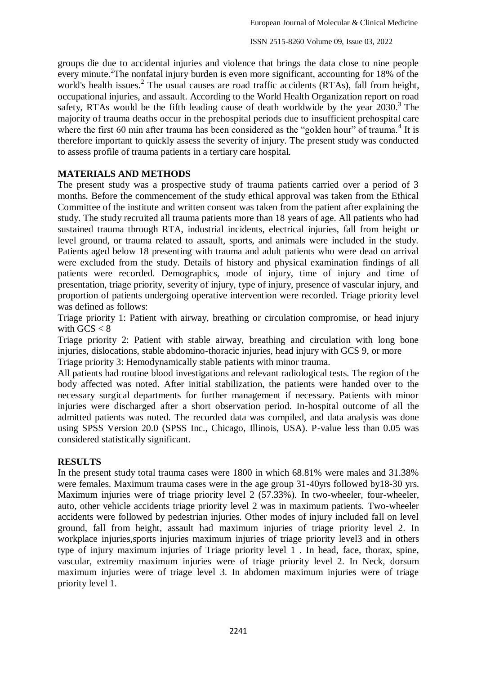groups die due to accidental injuries and violence that brings the data close to nine people every minute.<sup>2</sup>The nonfatal injury burden is even more significant, accounting for 18% of the world's health issues. $<sup>2</sup>$  The usual causes are road traffic accidents (RTAs), fall from height,</sup> occupational injuries, and assault. According to the World Health Organization report on road safety, RTAs would be the fifth leading cause of death worldwide by the year  $2030$ .<sup>3</sup> The majority of trauma deaths occur in the prehospital periods due to insufficient prehospital care where the first 60 min after trauma has been considered as the "golden hour" of trauma.<sup>4</sup> It is therefore important to quickly assess the severity of injury. The present study was conducted to assess profile of trauma patients in a tertiary care hospital.

### **MATERIALS AND METHODS**

The present study was a prospective study of trauma patients carried over a period of 3 months. Before the commencement of the study ethical approval was taken from the Ethical Committee of the institute and written consent was taken from the patient after explaining the study. The study recruited all trauma patients more than 18 years of age. All patients who had sustained trauma through RTA, industrial incidents, electrical injuries, fall from height or level ground, or trauma related to assault, sports, and animals were included in the study. Patients aged below 18 presenting with trauma and adult patients who were dead on arrival were excluded from the study. Details of history and physical examination findings of all patients were recorded. Demographics, mode of injury, time of injury and time of presentation, triage priority, severity of injury, type of injury, presence of vascular injury, and proportion of patients undergoing operative intervention were recorded. Triage priority level was defined as follows:

Triage priority 1: Patient with airway, breathing or circulation compromise, or head injury with  $GCS < 8$ 

Triage priority 2: Patient with stable airway, breathing and circulation with long bone injuries, dislocations, stable abdomino-thoracic injuries, head injury with GCS 9, or more Triage priority 3: Hemodynamically stable patients with minor trauma.

All patients had routine blood investigations and relevant radiological tests. The region of the body affected was noted. After initial stabilization, the patients were handed over to the necessary surgical departments for further management if necessary. Patients with minor injuries were discharged after a short observation period. In-hospital outcome of all the admitted patients was noted. The recorded data was compiled, and data analysis was done using SPSS Version 20.0 (SPSS Inc., Chicago, Illinois, USA). P-value less than 0.05 was considered statistically significant.

#### **RESULTS**

In the present study total trauma cases were 1800 in which 68.81% were males and 31.38% were females. Maximum trauma cases were in the age group 31-40yrs followed by18-30 yrs. Maximum injuries were of triage priority level 2 (57.33%). In two-wheeler, four-wheeler, auto, other vehicle accidents triage priority level 2 was in maximum patients. Two-wheeler accidents were followed by pedestrian injuries. Other modes of injury included fall on level ground, fall from height, assault had maximum injuries of triage priority level 2. In workplace injuries,sports injuries maximum injuries of triage priority level3 and in others type of injury maximum injuries of Triage priority level 1 . In head, face, thorax, spine, vascular, extremity maximum injuries were of triage priority level 2. In Neck, dorsum maximum injuries were of triage level 3. In abdomen maximum injuries were of triage priority level 1.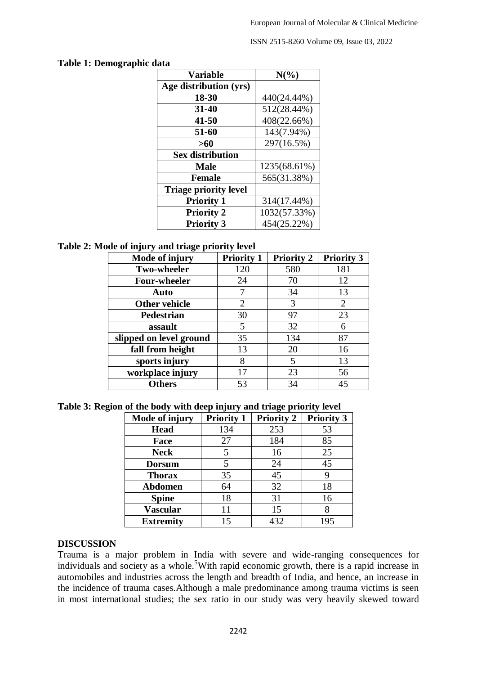ISSN 2515-8260 Volume 09, Issue 03, 2022

#### **Table 1: Demographic data**

| <b>Variable</b>              | $N(\%)$      |
|------------------------------|--------------|
| Age distribution (yrs)       |              |
| 18-30                        | 440(24.44%)  |
| 31-40                        | 512(28.44%)  |
| 41-50                        | 408(22.66%)  |
| 51-60                        | 143(7.94%)   |
| >60                          | 297(16.5%)   |
| <b>Sex distribution</b>      |              |
| <b>Male</b>                  | 1235(68.61%) |
| <b>Female</b>                | 565(31.38%)  |
| <b>Triage priority level</b> |              |
| <b>Priority 1</b>            | 314(17.44%)  |
| <b>Priority 2</b>            | 1032(57.33%) |
| <b>Priority 3</b>            | 454(25.22%)  |

#### **Table 2: Mode of injury and triage priority level**

| Mode of injury          | <b>Priority 1</b> | <b>Priority 2</b> | <b>Priority 3</b> |
|-------------------------|-------------------|-------------------|-------------------|
| <b>Two-wheeler</b>      | 120               | 580               | 181               |
| <b>Four-wheeler</b>     | 24                | 70                | 12                |
| Auto                    |                   | 34                | 13                |
| <b>Other vehicle</b>    | 2                 | 3                 | $\overline{2}$    |
| <b>Pedestrian</b>       | 30                | 97                | 23                |
| assault                 | 5                 | 32                | 6                 |
| slipped on level ground | 35                | 134               | 87                |
| fall from height        | 13                | 20                | 16                |
| sports injury           | 8                 | 5                 | 13                |
| workplace injury        | 17                | 23                | 56                |
| <b>Others</b>           | 53                | 34                | 45                |

**Table 3: Region of the body with deep injury and triage priority level**

| Mode of injury   | <b>Priority 1</b> | <b>Priority 2</b> | <b>Priority 3</b> |
|------------------|-------------------|-------------------|-------------------|
| <b>Head</b>      | 134               | 253               | 53                |
| Face             | 27                | 184               | 85                |
| <b>Neck</b>      |                   | 16                | 25                |
| <b>Dorsum</b>    | 5                 | 24                | 45                |
| <b>Thorax</b>    | 35                | 45                | 9                 |
| <b>Abdomen</b>   | 64                | 32                | 18                |
| <b>Spine</b>     | 18                | 31                | 16                |
| Vascular         | 11                | 15                |                   |
| <b>Extremity</b> | 15                | 432               | 195               |

#### **DISCUSSION**

Trauma is a major problem in India with severe and wide-ranging consequences for individuals and society as a whole.<sup>5</sup>With rapid economic growth, there is a rapid increase in automobiles and industries across the length and breadth of India, and hence, an increase in the incidence of trauma cases.Although a male predominance among trauma victims is seen in most international studies; the sex ratio in our study was very heavily skewed toward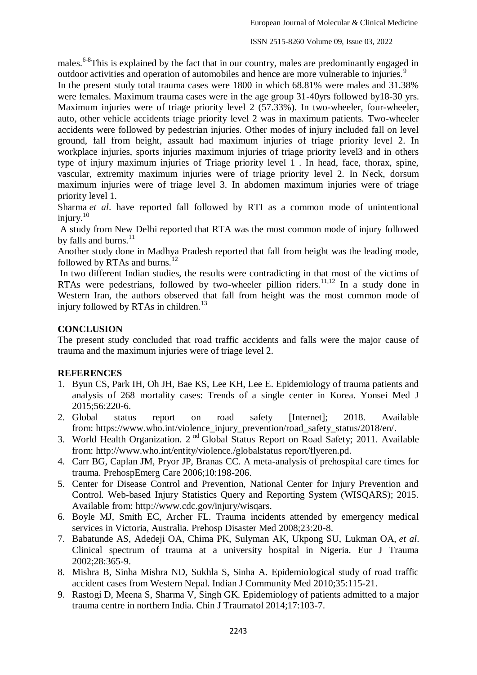males.<sup>6-8</sup>This is explained by the fact that in our country, males are predominantly engaged in outdoor activities and operation of automobiles and hence are more vulnerable to injuries.<sup>9</sup>

In the present study total trauma cases were 1800 in which 68.81% were males and 31.38% were females. Maximum trauma cases were in the age group 31-40yrs followed by18-30 yrs. Maximum injuries were of triage priority level 2 (57.33%). In two-wheeler, four-wheeler, auto, other vehicle accidents triage priority level 2 was in maximum patients. Two-wheeler accidents were followed by pedestrian injuries. Other modes of injury included fall on level ground, fall from height, assault had maximum injuries of triage priority level 2. In workplace injuries, sports injuries maximum injuries of triage priority level3 and in others type of injury maximum injuries of Triage priority level 1 . In head, face, thorax, spine, vascular, extremity maximum injuries were of triage priority level 2. In Neck, dorsum maximum injuries were of triage level 3. In abdomen maximum injuries were of triage priority level 1.

Sharma *et al*. have reported fall followed by RTI as a common mode of unintentional injury. $10$ 

A study from New Delhi reported that RTA was the most common mode of injury followed by falls and burns. $^{11}$ 

Another study done in Madhya Pradesh reported that fall from height was the leading mode, followed by RTAs and burns. $^{12}$ 

In two different Indian studies, the results were contradicting in that most of the victims of RTAs were pedestrians, followed by two-wheeler pillion riders.<sup>11,12</sup> In a study done in Western Iran, the authors observed that fall from height was the most common mode of injury followed by RTAs in children.<sup>13</sup>

### **CONCLUSION**

The present study concluded that road traffic accidents and falls were the major cause of trauma and the maximum injuries were of triage level 2.

#### **REFERENCES**

- 1. Byun CS, Park IH, Oh JH, Bae KS, Lee KH, Lee E. Epidemiology of trauma patients and analysis of 268 mortality cases: Trends of a single center in Korea. Yonsei Med J 2015;56:220-6.
- 2. Global status report on road safety [Internet]; 2018. Available from: [https://www.who.int/violence\\_injury\\_prevention/road\\_safety\\_status/2018/en/.](https://www.who.int/violence_injury_prevention/road_safety_status/2018/en/)
- 3. World Health Organization. 2<sup>nd</sup> Global Status Report on Road Safety; 2011. Available from: <http://www.who.int/entity/violence./globalstatus> report/flyeren.pd.
- 4. Carr BG, Caplan JM, Pryor JP, Branas CC. A meta-analysis of prehospital care times for trauma. PrehospEmerg Care 2006;10:198-206.
- 5. Center for Disease Control and Prevention, National Center for Injury Prevention and Control. Web-based Injury Statistics Query and Reporting System (WISQARS); 2015. Available from: [http://www.cdc.gov/injury/wisqars.](http://www.cdc.gov/injury/wisqars)
- 6. Boyle MJ, Smith EC, Archer FL. Trauma incidents attended by emergency medical services in Victoria, Australia. Prehosp Disaster Med 2008;23:20-8.
- 7. Babatunde AS, Adedeji OA, Chima PK, Sulyman AK, Ukpong SU, Lukman OA, *et al*. Clinical spectrum of trauma at a university hospital in Nigeria. Eur J Trauma 2002;28:365-9.
- 8. Mishra B, Sinha Mishra ND, Sukhla S, Sinha A. Epidemiological study of road traffic accident cases from Western Nepal. Indian J Community Med 2010;35:115-21.
- 9. Rastogi D, Meena S, Sharma V, Singh GK. Epidemiology of patients admitted to a major trauma centre in northern India. Chin J Traumatol 2014;17:103-7.